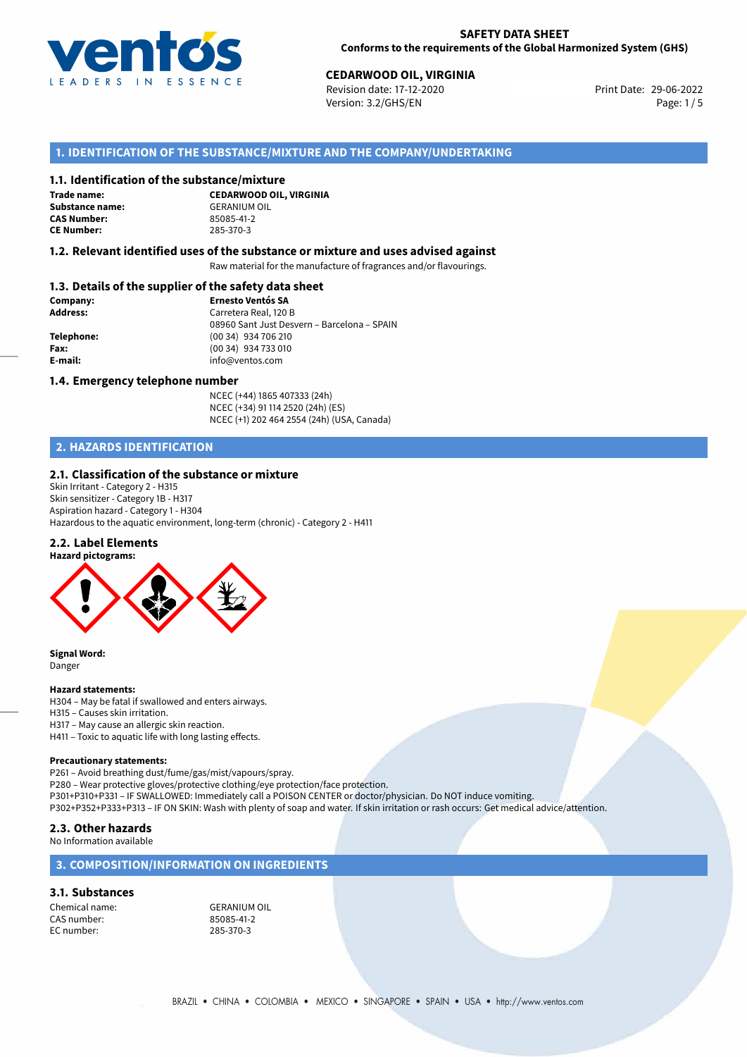

# **CEDARWOOD OIL, VIRGINIA**<br> **29-06-2022 Revision date: 17-12-2020 CEDARGING CONTRACT PROPERTY Print Date: 29-06-2022**

Revision date: 17-12-2020 Version: 3.2/GHS/EN Page: 1/5

### **1. IDENTIFICATION OF THE SUBSTANCE/MIXTURE AND THE COMPANY/UNDERTAKING**

#### **1.1. Identification of the substance/mixture**

**Trade name: Substance name:** GERANIUM OIL<br> **CAS Number:** 85085-41-2 **CAS Number: CE Number:** 285-370-3

**CEDARWOOD OIL, VIRGINIA**

#### **1.2. Relevant identified uses of the substance or mixture and uses advised against**

Raw material for the manufacture of fragrances and/or flavourings.

#### **1.3. Details of the supplier of the safety data sheet**

| Company:        | <b>Ernesto Ventós SA</b>                    |
|-----------------|---------------------------------------------|
| <b>Address:</b> | Carretera Real, 120 B                       |
|                 | 08960 Sant Just Desvern - Barcelona - SPAIN |
| Telephone:      | (00 34) 934 706 210                         |
| Fax:            | (00 34) 934 733 010                         |
| E-mail:         | info@ventos.com                             |
|                 |                                             |

#### **1.4. Emergency telephone number**

NCEC (+44) 1865 407333 (24h) NCEC (+34) 91 114 2520 (24h) (ES) NCEC (+1) 202 464 2554 (24h) (USA, Canada)

# **2. HAZARDS IDENTIFICATION**

#### **2.1. Classification of the substance or mixture**

Skin Irritant - Category 2 - H315 Skin sensitizer - Category 1B - H317 Aspiration hazard - Category 1 - H304 Hazardous to the aquatic environment, long-term (chronic) - Category 2 - H411

#### **2.2. Label Elements**



**Signal Word:** Danger

#### **Hazard statements:**

H304 – May be fatal if swallowed and enters airways.

- H315 Causes skin irritation.
- H317 May cause an allergic skin reaction.
- H411 Toxic to aquatic life with long lasting effects.

#### **Precautionary statements:**

P261 – Avoid breathing dust/fume/gas/mist/vapours/spray.

P280 – Wear protective gloves/protective clothing/eye protection/face protection. P301+P310+P331 – IF SWALLOWED: Immediately call a POISON CENTER or doctor/physician. Do NOT induce vomiting.

P302+P352+P333+P313 – IF ON SKIN: Wash with plenty of soap and water. If skin irritation or rash occurs: Get medical advice/attention.

#### **2.3. Other hazards**

No Information available

### **3. COMPOSITION/INFORMATION ON INGREDIENTS**

#### **3.1. Substances**

Chemical name:<br>
CAS number: 
GERANIUM OIL<br>
85085-41-2 CAS number: 85085-41-2<br>EC number: 285-370-3 EC number: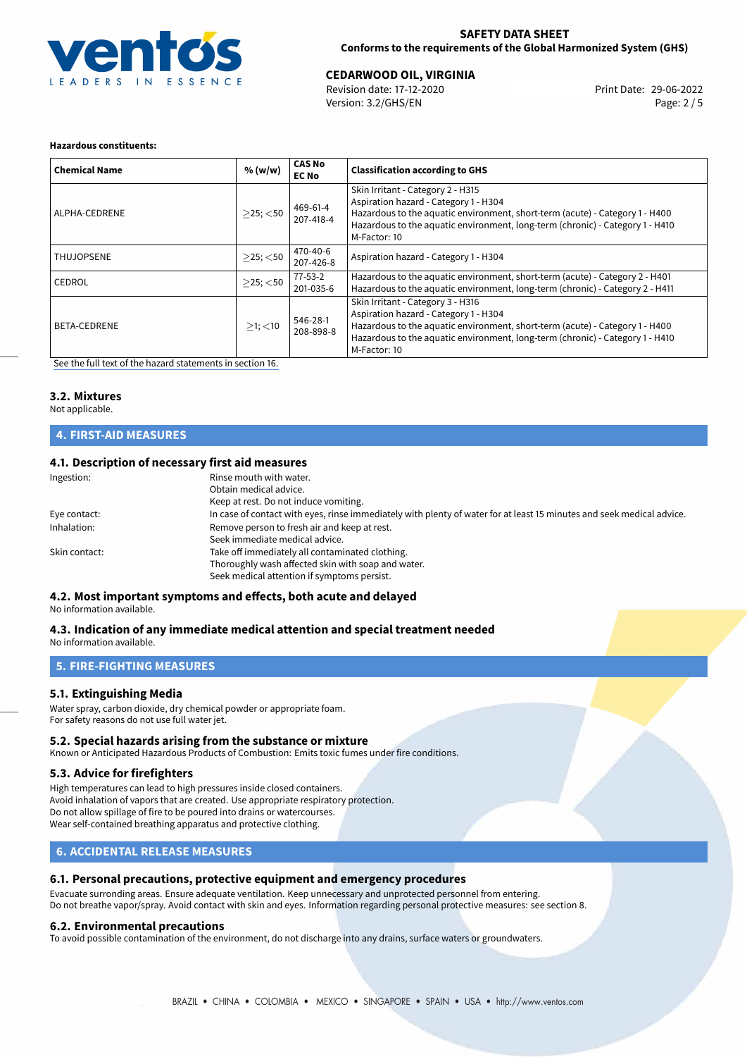

#### **SAFETY DATA SHEET Conforms to the requirements of the Global Harmonized System (GHS)**

# **CEDARWOOD OIL, VIRGINIA**<br> **29-06-2022 Revision date: 17-12-2020 CEDARGING CONTRACT PROPERTY Print Date: 29-06-2022**

Revision date: 17-12-2020 Version: 3.2/GHS/EN Page: 2 / 5

#### **Hazardous constituents:**

| <b>Chemical Name</b> | % (w/w)        | <b>CAS No</b><br><b>EC No</b> | <b>Classification according to GHS</b>                                                                                                                                                                                                                      |
|----------------------|----------------|-------------------------------|-------------------------------------------------------------------------------------------------------------------------------------------------------------------------------------------------------------------------------------------------------------|
| ALPHA-CEDRENE        | $>$ 25; $<$ 50 | 469-61-4<br>207-418-4         | Skin Irritant - Category 2 - H315<br>Aspiration hazard - Category 1 - H304<br>Hazardous to the aquatic environment, short-term (acute) - Category 1 - H400<br>Hazardous to the aquatic environment, long-term (chronic) - Category 1 - H410<br>M-Factor: 10 |
| <b>THUJOPSENE</b>    | $>25$ ; $<$ 50 | 470-40-6<br>207-426-8         | Aspiration hazard - Category 1 - H304                                                                                                                                                                                                                       |
| CEDROL               | $>$ 25; $<$ 50 | $77 - 53 - 2$<br>201-035-6    | Hazardous to the aquatic environment, short-term (acute) - Category 2 - H401<br>Hazardous to the aquatic environment, long-term (chronic) - Category 2 - H411                                                                                               |
| BETA-CEDRENE         | $>1$ ; $<$ 10  | 546-28-1<br>208-898-8         | Skin Irritant - Category 3 - H316<br>Aspiration hazard - Category 1 - H304<br>Hazardous to the aquatic environment, short-term (acute) - Category 1 - H400<br>Hazardous to the aquatic environment, long-term (chronic) - Category 1 - H410<br>M-Factor: 10 |

[See the full text of the hazard statements in section 16.](#page-4-0)

#### **3.2. Mixtures**

Not applicable.

# **4. FIRST-AID MEASURES**

#### **4.1. Description of necessary first aid measures**

| Ingestion:    | Rinse mouth with water.<br>Obtain medical advice.<br>Keep at rest. Do not induce vomiting.                                                           |
|---------------|------------------------------------------------------------------------------------------------------------------------------------------------------|
| Eye contact:  | In case of contact with eyes, rinse immediately with plenty of water for at least 15 minutes and seek medical advice.                                |
| Inhalation:   | Remove person to fresh air and keep at rest.<br>Seek immediate medical advice.                                                                       |
| Skin contact: | Take off immediately all contaminated clothing.<br>Thoroughly wash affected skin with soap and water.<br>Seek medical attention if symptoms persist. |

# **4.2. Most important symptoms and effects, both acute and delayed**

No information available.

#### **4.3. Indication of any immediate medical attention and special treatment needed** No information available.

# **5. FIRE-FIGHTING MEASURES**

#### **5.1. Extinguishing Media**

Water spray, carbon dioxide, dry chemical powder or appropriate foam. For safety reasons do not use full water jet.

#### **5.2. Special hazards arising from the substance or mixture**

Known or Anticipated Hazardous Products of Combustion: Emits toxic fumes under fire conditions.

#### **5.3. Advice for firefighters**

High temperatures can lead to high pressures inside closed containers. Avoid inhalation of vapors that are created. Use appropriate respiratory protection. Do not allow spillage of fire to be poured into drains or watercourses. Wear self-contained breathing apparatus and protective clothing.

# **6. ACCIDENTAL RELEASE MEASURES**

#### **6.1. Personal precautions, protective equipment and emergency procedures**

Evacuate surronding areas. Ensure adequate ventilation. Keep unnecessary and unprotected personnel from entering. Do not breathe vapor/spray. Avoid contact with skin and eyes. Information regarding personal protective measures: see section 8.

#### **6.2. Environmental precautions**

To avoid possible contamination of the environment, do not discharge into any drains, surface waters or groundwaters.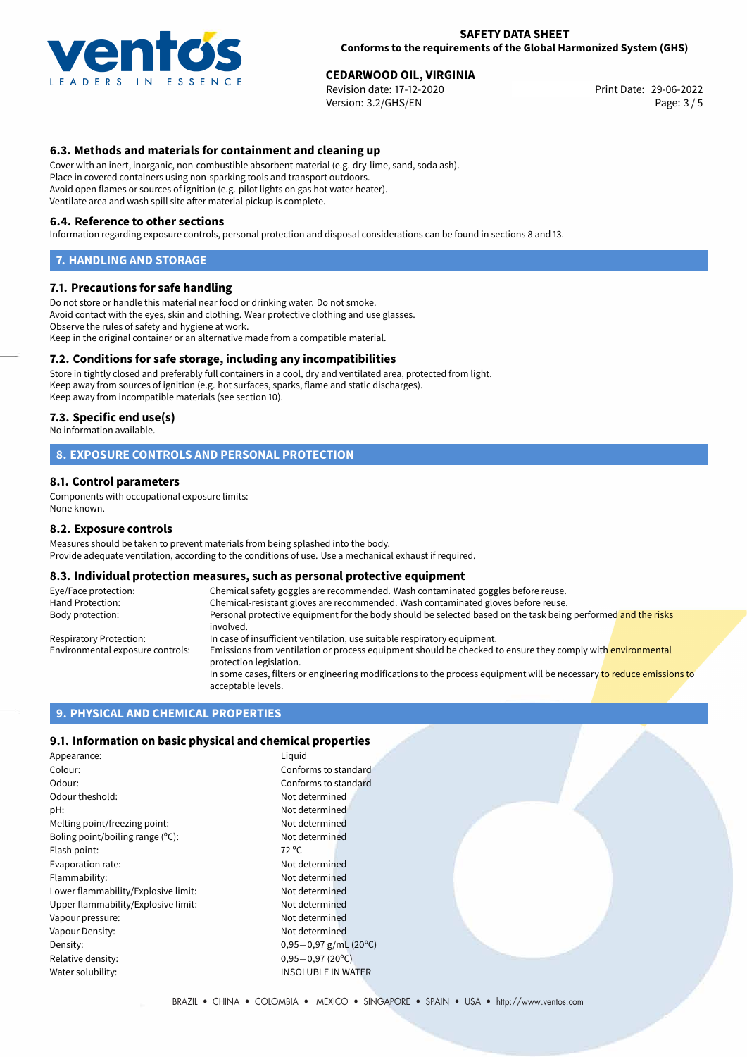

# **CEDARWOOD OIL, VIRGINIA**<br> **29-06-2022 Revision date: 17-12-2020 CEDARGING CONTRACT PROPERTY Print Date: 29-06-2022**

Revision date: 17-12-2020 Version: 3.2/GHS/EN Page: 3 / 5

### **6.3. Methods and materials for containment and cleaning up**

Cover with an inert, inorganic, non-combustible absorbent material (e.g. dry-lime, sand, soda ash). Place in covered containers using non-sparking tools and transport outdoors. Avoid open flames or sources of ignition (e.g. pilot lights on gas hot water heater). Ventilate area and wash spill site after material pickup is complete.

#### **6.4. Reference to other sections**

Information regarding exposure controls, personal protection and disposal considerations can be found in sections 8 and 13.

#### **7. HANDLING AND STORAGE**

#### **7.1. Precautions for safe handling**

Do not store or handle this material near food or drinking water. Do not smoke. Avoid contact with the eyes, skin and clothing. Wear protective clothing and use glasses. Observe the rules of safety and hygiene at work. Keep in the original container or an alternative made from a compatible material.

#### **7.2. Conditions for safe storage, including any incompatibilities**

Store in tightly closed and preferably full containers in a cool, dry and ventilated area, protected from light. Keep away from sources of ignition (e.g. hot surfaces, sparks, flame and static discharges). Keep away from incompatible materials (see section 10).

#### **7.3. Specific end use(s)**

No information available.

#### **8. EXPOSURE CONTROLS AND PERSONAL PROTECTION**

#### **8.1. Control parameters**

Components with occupational exposure limits: None known.

#### **8.2. Exposure controls**

Measures should be taken to prevent materials from being splashed into the body. Provide adequate ventilation, according to the conditions of use. Use a mechanical exhaust if required.

#### **8.3. Individual protection measures, such as personal protective equipment**

| Eye/Face protection:             | Chemical safety goggles are recommended. Wash contaminated goggles before reuse.                                                            |
|----------------------------------|---------------------------------------------------------------------------------------------------------------------------------------------|
| Hand Protection:                 | Chemical-resistant gloves are recommended. Wash contaminated gloves before reuse.                                                           |
| Body protection:                 | Personal protective equipment for the body should be selected based on the task being performed and the risks<br>involved.                  |
| Respiratory Protection:          | In case of insufficient ventilation, use suitable respiratory equipment.                                                                    |
| Environmental exposure controls: | Emissions from ventilation or process equipment should be checked to ensure they comply with environmental<br>protection legislation.       |
|                                  | In some cases, filters or engineering modifications to the process equipment will be necessary to reduce emissions to<br>acceptable levels. |

#### **9. PHYSICAL AND CHEMICAL PROPERTIES**

#### **9.1. Information on basic physical and chemical properties**

| Appearance:                         | Liquid                     |
|-------------------------------------|----------------------------|
| Colour:                             | Conforms to standard       |
| Odour:                              | Conforms to standard       |
| Odour theshold:                     | Not determined             |
| pH:                                 | Not determined             |
| Melting point/freezing point:       | Not determined             |
| Boling point/boiling range (°C):    | Not determined             |
| Flash point:                        | 72 °C                      |
| Evaporation rate:                   | Not determined             |
| Flammability:                       | Not determined             |
| Lower flammability/Explosive limit: | Not determined             |
| Upper flammability/Explosive limit: | Not determined             |
| Vapour pressure:                    | Not determined             |
| Vapour Density:                     | Not determined             |
| Density:                            | $0,95-0,97$ g/mL (20°C)    |
| Relative density:                   | $0,95 - 0,97(20^{\circ}C)$ |
| Water solubility:                   | <b>INSOLUBLE IN WATER</b>  |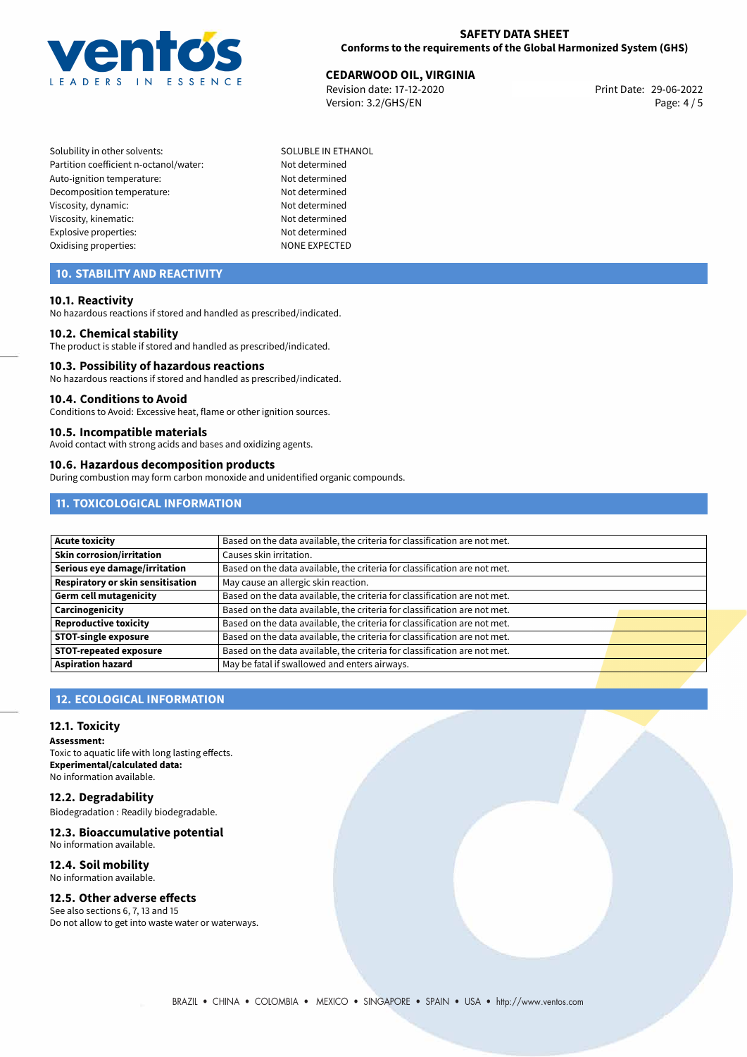

# **CEDARWOOD OIL, VIRGINIA**<br>29-06-2022 **Revision date: 17-12-2020**

Revision date: 17-12-2020 Version: 3.2/GHS/EN Page: 4 / 5

- Solubility in other solvents: SOLUBLE IN ETHANOL Partition coefficient n-octanol/water: Not determined Auto-ignition temperature: Not determined Decomposition temperature: Not determined Viscosity, dynamic: Not determined Viscosity, kinematic: Not determined Explosive properties: Not determined Oxidising properties: NONE EXPECTED
	-

# **10. STABILITY AND REACTIVITY**

#### **10.1. Reactivity**

No hazardous reactions if stored and handled as prescribed/indicated.

#### **10.2. Chemical stability**

The product is stable if stored and handled as prescribed/indicated.

#### **10.3. Possibility of hazardous reactions**

No hazardous reactions if stored and handled as prescribed/indicated.

#### **10.4. Conditions to Avoid**

Conditions to Avoid: Excessive heat, flame or other ignition sources.

#### **10.5. Incompatible materials**

Avoid contact with strong acids and bases and oxidizing agents.

#### **10.6. Hazardous decomposition products**

During combustion may form carbon monoxide and unidentified organic compounds.

# **11. TOXICOLOGICAL INFORMATION**

| <b>Acute toxicity</b>             | Based on the data available, the criteria for classification are not met. |  |
|-----------------------------------|---------------------------------------------------------------------------|--|
| <b>Skin corrosion/irritation</b>  | Causes skin irritation.                                                   |  |
| Serious eye damage/irritation     | Based on the data available, the criteria for classification are not met. |  |
| Respiratory or skin sensitisation | May cause an allergic skin reaction.                                      |  |
| Germ cell mutagenicity            | Based on the data available, the criteria for classification are not met. |  |
| Carcinogenicity                   | Based on the data available, the criteria for classification are not met. |  |
| Reproductive toxicity             | Based on the data available, the criteria for classification are not met. |  |
| <b>STOT-single exposure</b>       | Based on the data available, the criteria for classification are not met. |  |
| <b>STOT-repeated exposure</b>     | Based on the data available, the criteria for classification are not met. |  |
| <b>Aspiration hazard</b>          | May be fatal if swallowed and enters airways.                             |  |

# **12. ECOLOGICAL INFORMATION**

#### **12.1. Toxicity**

**Assessment:** Toxic to aquatic life with long lasting effects. **Experimental/calculated data:** No information available.

# **12.2. Degradability**

Biodegradation : Readily biodegradable.

#### **12.3. Bioaccumulative potential** No information available.

# **12.4. Soil mobility**

# No information available.

# **12.5. Other adverse effects**

See also sections 6, 7, 13 and 15 Do not allow to get into waste water or waterways.